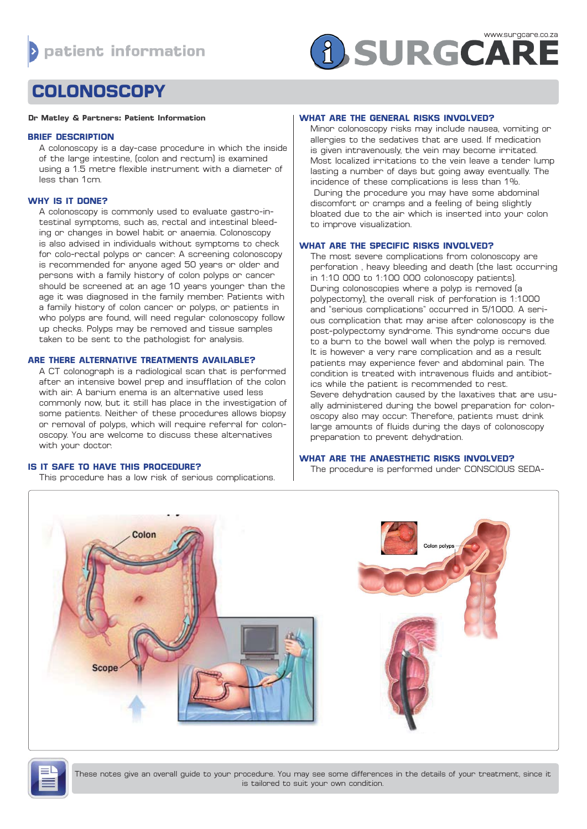# **A SURGCARE**

# **COLONOSCOPY**

#### **Dr Matley & Partners: Patient Information**

#### **BRIEF DESCRIPTION**

A colonoscopy is a day-case procedure in which the inside of the large intestine, (colon and rectum) is examined using a 1.5 metre flexible instrument with a diameter of less than 1cm.

## **WHY IS IT DONE?**

A colonoscopy is commonly used to evaluate gastro-intestinal symptoms, such as, rectal and intestinal bleeding or changes in bowel habit or anaemia. Colonoscopy is also advised in individuals without symptoms to check for colo-rectal polyps or cancer. A screening colonoscopy is recommended for anyone aged 50 years or older and persons with a family history of colon polyps or cancer should be screened at an age 10 years younger than the age it was diagnosed in the family member. Patients with a family history of colon cancer or polyps, or patients in who polyps are found, will need regular colonoscopy follow up checks. Polyps may be removed and tissue samples taken to be sent to the pathologist for analysis.

#### **ARE THERE ALTERNATIVE TREATMENTS AVAILABLE?**

A CT colonograph is a radiological scan that is performed after an intensive bowel prep and insufflation of the colon with air. A barium enema is an alternative used less commonly now, but it still has place in the investigation of some patients. Neither of these procedures allows biopsy or removal of polyps, which will require referral for colonoscopy. You are welcome to discuss these alternatives with your doctor.

# **IS IT SAFE TO HAVE THIS PROCEDURE?**

This procedure has a low risk of serious complications.

## **WHAT ARE THE GENERAL RISKS INVOLVED?**

Minor colonoscopy risks may include nausea, vomiting or allergies to the sedatives that are used. If medication is given intravenously, the vein may become irritated. Most localized irritations to the vein leave a tender lump lasting a number of days but going away eventually. The incidence of these complications is less than 1%. During the procedure you may have some abdominal discomfort or cramps and a feeling of being slightly bloated due to the air which is inserted into your colon to improve visualization.

# **WHAT ARE THE SPECIFIC RISKS INVOLVED?**

The most severe complications from colonoscopy are perforation , heavy bleeding and death (the last occurring in 1:10 000 to 1:100 000 colonoscopy patients). During colonoscopies where a polyp is removed (a polypectomy), the overall risk of perforation is 1:1000 and "serious complications" occurred in 5/1000. A serious complication that may arise after colonoscopy is the post-polypectomy syndrome. This syndrome occurs due to a burn to the bowel wall when the polyp is removed. It is however a very rare complication and as a result patients may experience fever and abdominal pain. The condition is treated with intravenous fluids and antibiotics while the patient is recommended to rest. Severe dehydration caused by the laxatives that are usually administered during the bowel preparation for colonoscopy also may occur. Therefore, patients must drink large amounts of fluids during the days of colonoscopy preparation to prevent dehydration.

# **WHAT ARE THE ANAESTHETIC RISKS INVOLVED?**

The procedure is performed under CONSCIOUS SEDA-



These notes give an overall guide to your procedure. You may see some differences in the details of your treatment, since it is tailored to suit your own condition.